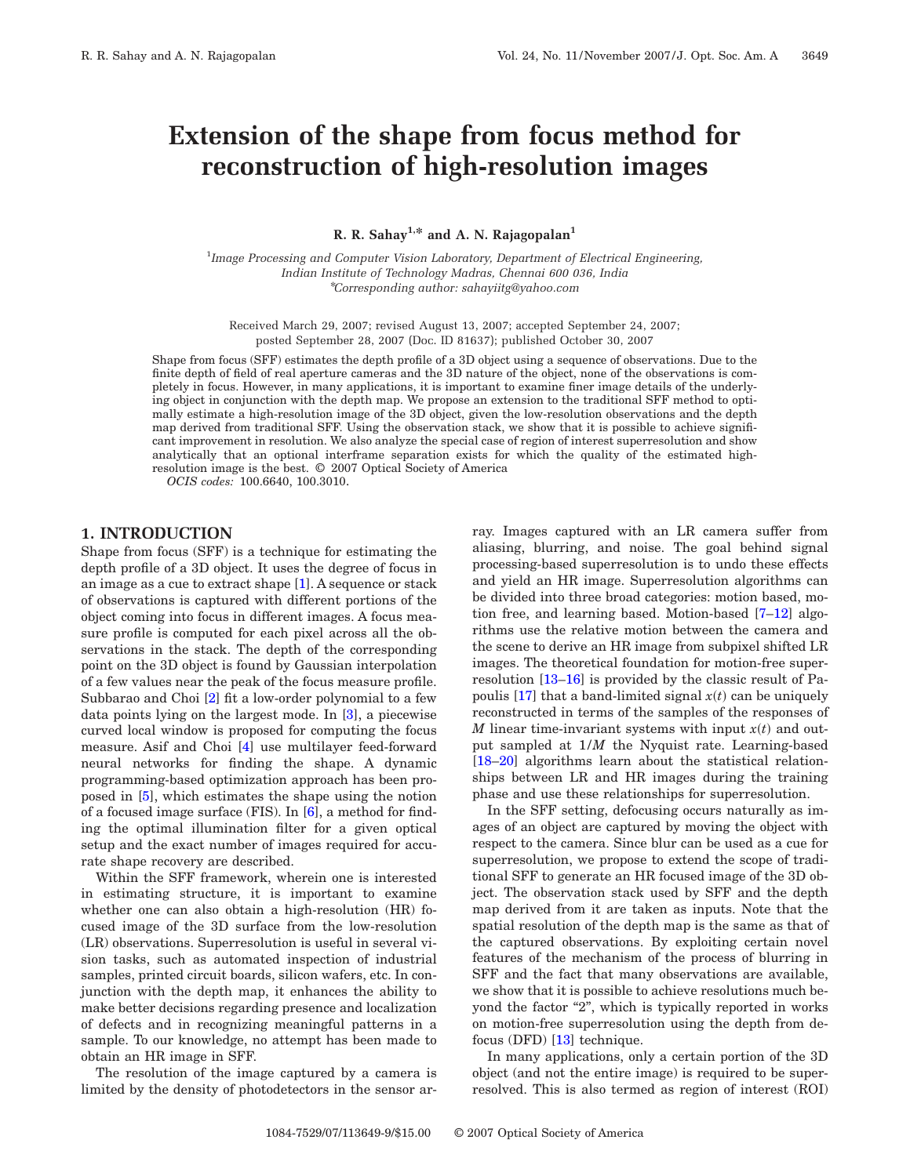# **Extension of the shape from focus method for reconstruction of high-resolution images**

**R. R. Sahay1,\* and A. N. Rajagopalan1**

1 *Image Processing and Computer Vision Laboratory, Department of Electrical Engineering, Indian Institute of Technology Madras, Chennai 600 036, India* \**Corresponding author: sahayiitg@yahoo.com*

Received March 29, 2007; revised August 13, 2007; accepted September 24, 2007; posted September 28, 2007 (Doc. ID 81637); published October 30, 2007

Shape from focus (SFF) estimates the depth profile of a 3D object using a sequence of observations. Due to the finite depth of field of real aperture cameras and the 3D nature of the object, none of the observations is completely in focus. However, in many applications, it is important to examine finer image details of the underlying object in conjunction with the depth map. We propose an extension to the traditional SFF method to optimally estimate a high-resolution image of the 3D object, given the low-resolution observations and the depth map derived from traditional SFF. Using the observation stack, we show that it is possible to achieve significant improvement in resolution. We also analyze the special case of region of interest superresolution and show analytically that an optional interframe separation exists for which the quality of the estimated highresolution image is the best. © 2007 Optical Society of America

*OCIS codes:* 100.6640, 100.3010.

# **1. INTRODUCTION**

Shape from focus (SFF) is a technique for estimating the depth profile of a 3D object. It uses the degree of focus in an image as a cue to extract shape [\[1\]](#page-7-0). A sequence or stack of observations is captured with different portions of the object coming into focus in different images. A focus measure profile is computed for each pixel across all the observations in the stack. The depth of the corresponding point on the 3D object is found by Gaussian interpolation of a few values near the peak of the focus measure profile. Subbarao and Choi [\[2\]](#page-7-1) fit a low-order polynomial to a few data points lying on the largest mode. In [\[3\]](#page-7-2), a piecewise curved local window is proposed for computing the focus measure. Asif and Choi [\[4\]](#page-7-3) use multilayer feed-forward neural networks for finding the shape. A dynamic programming-based optimization approach has been proposed in [\[5\]](#page-7-4), which estimates the shape using the notion of a focused image surface (FIS). In [\[6\]](#page-8-0), a method for finding the optimal illumination filter for a given optical setup and the exact number of images required for accurate shape recovery are described.

Within the SFF framework, wherein one is interested in estimating structure, it is important to examine whether one can also obtain a high-resolution (HR) focused image of the 3D surface from the low-resolution (LR) observations. Superresolution is useful in several vision tasks, such as automated inspection of industrial samples, printed circuit boards, silicon wafers, etc. In conjunction with the depth map, it enhances the ability to make better decisions regarding presence and localization of defects and in recognizing meaningful patterns in a sample. To our knowledge, no attempt has been made to obtain an HR image in SFF.

The resolution of the image captured by a camera is limited by the density of photodetectors in the sensor array. Images captured with an LR camera suffer from aliasing, blurring, and noise. The goal behind signal processing-based superresolution is to undo these effects and yield an HR image. Superresolution algorithms can be divided into three broad categories: motion based, motion free, and learning based. Motion-based [\[7–](#page-8-1)[12\]](#page-8-2) algorithms use the relative motion between the camera and the scene to derive an HR image from subpixel shifted LR images. The theoretical foundation for motion-free superresolution [\[13–](#page-8-3)[16\]](#page-8-4) is provided by the classic result of Pa-poulis [\[17\]](#page-8-5) that a band-limited signal  $x(t)$  can be uniquely reconstructed in terms of the samples of the responses of *M* linear time-invariant systems with input  $x(t)$  and output sampled at 1/*M* the Nyquist rate. Learning-based [\[18–](#page-8-6)[20\]](#page-8-7) algorithms learn about the statistical relationships between LR and HR images during the training phase and use these relationships for superresolution.

In the SFF setting, defocusing occurs naturally as images of an object are captured by moving the object with respect to the camera. Since blur can be used as a cue for superresolution, we propose to extend the scope of traditional SFF to generate an HR focused image of the 3D object. The observation stack used by SFF and the depth map derived from it are taken as inputs. Note that the spatial resolution of the depth map is the same as that of the captured observations. By exploiting certain novel features of the mechanism of the process of blurring in SFF and the fact that many observations are available, we show that it is possible to achieve resolutions much beyond the factor "2", which is typically reported in works on motion-free superresolution using the depth from defocus (DFD) [\[13\]](#page-8-3) technique.

In many applications, only a certain portion of the 3D object (and not the entire image) is required to be superresolved. This is also termed as region of interest (ROI)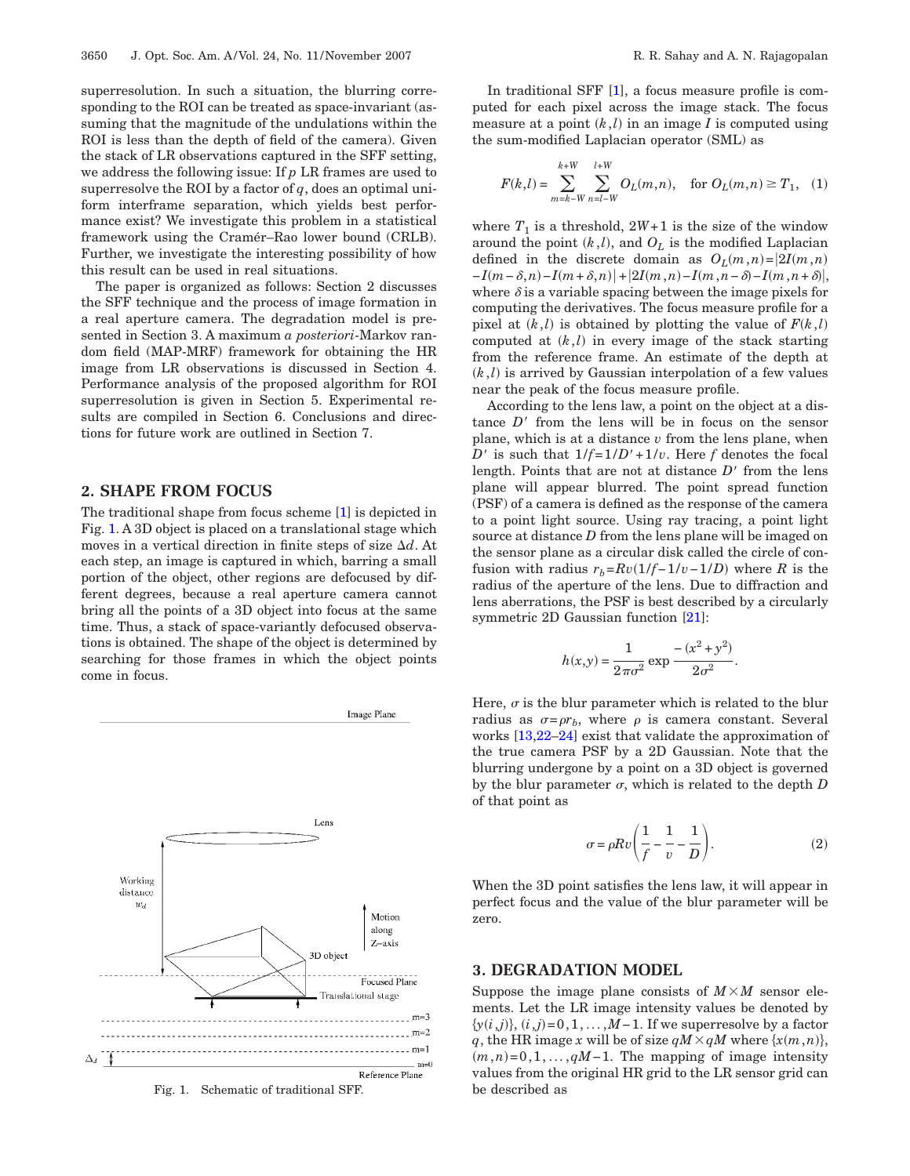superresolution. In such a situation, the blurring corresponding to the ROI can be treated as space-invariant (assuming that the magnitude of the undulations within the ROI is less than the depth of field of the camera). Given the stack of LR observations captured in the SFF setting, we address the following issue: If *p* LR frames are used to superresolve the ROI by a factor of  $q$ , does an optimal uniform interframe separation, which yields best performance exist? We investigate this problem in a statistical framework using the Cramér–Rao lower bound (CRLB). Further, we investigate the interesting possibility of how this result can be used in real situations.

The paper is organized as follows: Section 2 discusses the SFF technique and the process of image formation in a real aperture camera. The degradation model is presented in Section 3. A maximum *a posteriori*-Markov random field (MAP-MRF) framework for obtaining the HR image from LR observations is discussed in Section 4. Performance analysis of the proposed algorithm for ROI superresolution is given in Section 5. Experimental results are compiled in Section 6. Conclusions and directions for future work are outlined in Section 7.

# **2. SHAPE FROM FOCUS**

The traditional shape from focus scheme [\[1\]](#page-7-0) is depicted in Fig. [1.](#page-1-0) A 3D object is placed on a translational stage which moves in a vertical direction in finite steps of size *d*. At each step, an image is captured in which, barring a small portion of the object, other regions are defocused by different degrees, because a real aperture camera cannot bring all the points of a 3D object into focus at the same time. Thus, a stack of space-variantly defocused observations is obtained. The shape of the object is determined by searching for those frames in which the object points come in focus.

<span id="page-1-0"></span>

Fig. 1. Schematic of traditional SFF. be described as

In traditional SFF [\[1\]](#page-7-0), a focus measure profile is computed for each pixel across the image stack. The focus measure at a point  $(k, l)$  in an image  $I$  is computed using the sum-modified Laplacian operator (SML) as

$$
F(k,l) = \sum_{m=k-W}^{k+W} \sum_{n=l-W}^{l+W} O_L(m,n), \quad \text{for } O_L(m,n) \ge T_1, \quad (1)
$$

where  $T_1$  is a threshold,  $2W+1$  is the size of the window around the point  $(k, l)$ , and  $O<sub>L</sub>$  is the modified Laplacian defined in the discrete domain as  $O_L(m,n) = |2I(m,n)|$  $-I(m-\delta,n) - I(m+\delta,n) + |2I(m,n) - I(m,n-\delta) - I(m,n+\delta)|$ where  $\delta$  is a variable spacing between the image pixels for computing the derivatives. The focus measure profile for a pixel at  $(k, l)$  is obtained by plotting the value of  $F(k, l)$ computed at  $(k, l)$  in every image of the stack starting from the reference frame. An estimate of the depth at  $(k, l)$  is arrived by Gaussian interpolation of a few values near the peak of the focus measure profile.

According to the lens law, a point on the object at a distance  $D'$  from the lens will be in focus on the sensor plane, which is at a distance *v* from the lens plane, when *D'* is such that  $1/f=1/D'+1/v$ . Here *f* denotes the focal length. Points that are not at distance  $D'$  from the lens plane will appear blurred. The point spread function (PSF) of a camera is defined as the response of the camera to a point light source. Using ray tracing, a point light source at distance *D* from the lens plane will be imaged on the sensor plane as a circular disk called the circle of confusion with radius  $r_b = Rv(1/f-1/v-1/D)$  where *R* is the radius of the aperture of the lens. Due to diffraction and lens aberrations, the PSF is best described by a circularly symmetric 2D Gaussian function [\[21\]](#page-8-8):

$$
h(x,y) = \frac{1}{2\pi\sigma^2} \exp \frac{-(x^2 + y^2)}{2\sigma^2}.
$$

Here,  $\sigma$  is the blur parameter which is related to the blur radius as  $\sigma = \rho r_b$ , where  $\rho$  is camera constant. Several works [\[13,](#page-8-3)[22](#page-8-9)[–24\]](#page-8-10) exist that validate the approximation of the true camera PSF by a 2D Gaussian. Note that the blurring undergone by a point on a 3D object is governed by the blur parameter  $\sigma$ , which is related to the depth  $D$ of that point as

$$
\sigma = \rho R v \left( \frac{1}{f} - \frac{1}{v} - \frac{1}{D} \right). \tag{2}
$$

When the 3D point satisfies the lens law, it will appear in perfect focus and the value of the blur parameter will be zero.

## **3. DEGRADATION MODEL**

Suppose the image plane consists of  $M \times M$  sensor elements. Let the LR image intensity values be denoted by  $\{y(i,j)\}, (i,j)=0,1,\ldots,M-1$ . If we superresolve by a factor *q*, the HR image *x* will be of size  $qM \times qM$  where  $\{x(m, n)\},$  $(m, n)=0,1,\ldots,qM-1$ . The mapping of image intensity values from the original HR grid to the LR sensor grid can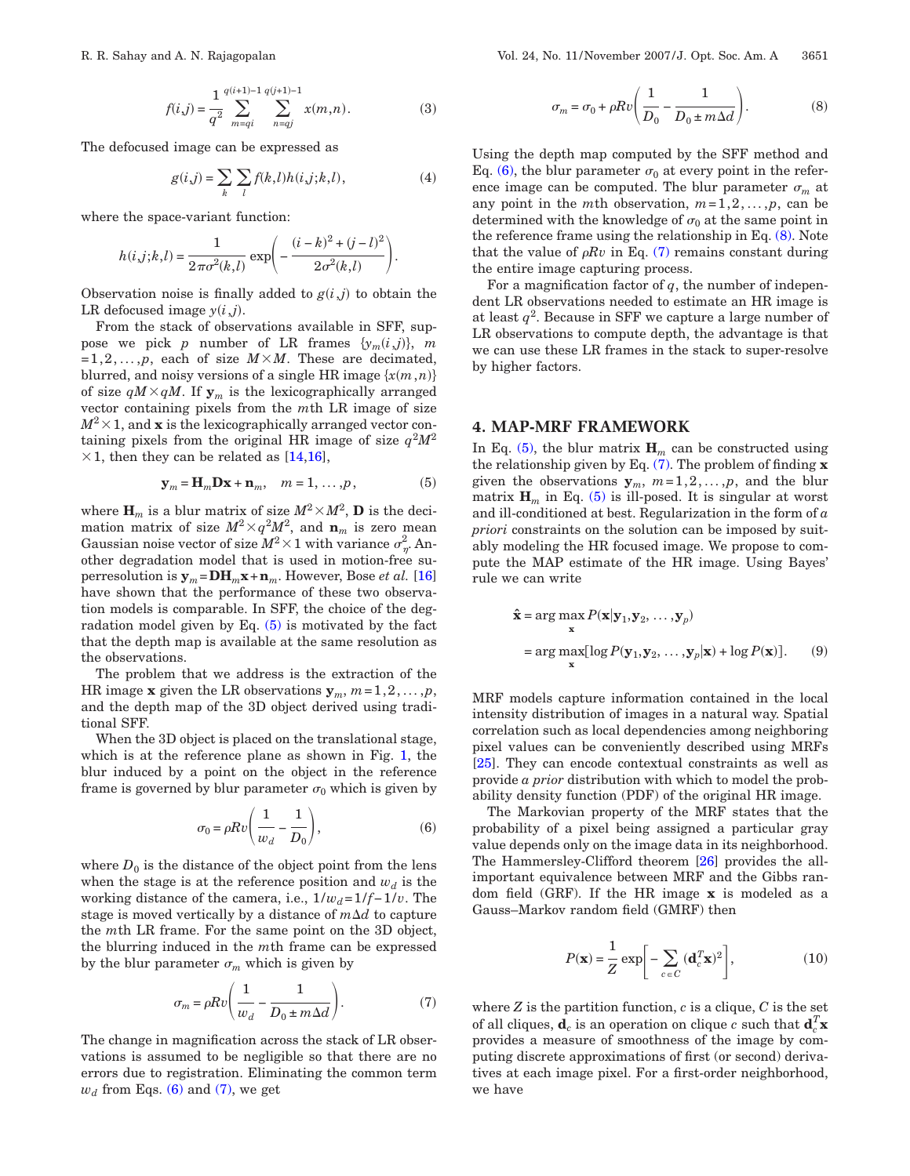$$
f(i,j) = \frac{1}{q^2} \sum_{m=qi}^{q(i+1)-1} \sum_{n=qj}^{q(j+1)-1} x(m,n).
$$
 (3)

The defocused image can be expressed as

$$
g(i,j) = \sum_{k} \sum_{l} f(k,l)h(i,j;k,l),
$$
\n(4)

where the space-variant function:

$$
h(i,j;k,l) = \frac{1}{2\pi\sigma^{2}(k,l)} \exp\left(-\frac{(i-k)^{2} + (j-l)^{2}}{2\sigma^{2}(k,l)}\right).
$$

Observation noise is finally added to  $g(i,j)$  to obtain the LR defocused image  $y(i,j)$ .

From the stack of observations available in SFF, suppose we pick *p* number of LR frames  $\{y_m(i,j)\}, m$  $=1,2,\ldots,p$ , each of size  $M\times M$ . These are decimated, blurred, and noisy versions of a single HR image  $\{x(m, n)\}$ of size  $qM \times qM$ . If  $y_m$  is the lexicographically arranged vector containing pixels from the *m*th LR image of size  $M^2 \times 1$ , and **x** is the lexicographically arranged vector containing pixels from the original HR image of size  $q^2M^2$  $\times$  1, then they can be related as [\[14](#page-8-11)[,16\]](#page-8-4),

$$
\mathbf{y}_m = \mathbf{H}_m \mathbf{D} \mathbf{x} + \mathbf{n}_m, \quad m = 1, \dots, p,\tag{5}
$$

<span id="page-2-0"></span>where  $\mathbf{H}_m$  is a blur matrix of size  $M^2 \times M^2$ , **D** is the decimation matrix of size  $M^2 \times q^2 M^2$ , and  $\mathbf{n}_m$  is zero mean Gaussian noise vector of size  $M^2\times 1$  with variance  $\sigma_{\eta'}^2$  Another degradation model that is used in motion-free superresolution is  $\mathbf{y}_m = \mathbf{DH}_m \mathbf{x} + \mathbf{n}_m$ . However, Bose *et al.* [\[16\]](#page-8-4) have shown that the performance of these two observation models is comparable. In SFF, the choice of the degradation model given by Eq. [\(5\)](#page-2-0) is motivated by the fact that the depth map is available at the same resolution as the observations.

The problem that we address is the extraction of the HR image **x** given the LR observations  $y_m$ ,  $m=1,2,\ldots,p$ , and the depth map of the 3D object derived using traditional SFF.

When the 3D object is placed on the translational stage, which is at the reference plane as shown in Fig. [1,](#page-1-0) the blur induced by a point on the object in the reference frame is governed by blur parameter  $\sigma_0$  which is given by

$$
\sigma_0 = \rho R v \left( \frac{1}{w_d} - \frac{1}{D_0} \right),\tag{6}
$$

<span id="page-2-1"></span>where  $D_0$  is the distance of the object point from the lens when the stage is at the reference position and  $w_d$  is the working distance of the camera, i.e.,  $1/w_d = 1/f − 1/v$ . The stage is moved vertically by a distance of  $m\Delta d$  to capture the *m*th LR frame. For the same point on the 3D object, the blurring induced in the *m*th frame can be expressed by the blur parameter  $\sigma_m$  which is given by

$$
\sigma_m = \rho R v \left( \frac{1}{w_d} - \frac{1}{D_0 \pm m \Delta d} \right). \tag{7}
$$

<span id="page-2-2"></span>The change in magnification across the stack of LR observations is assumed to be negligible so that there are no errors due to registration. Eliminating the common term  $w_d$  from Eqs. [\(6\)](#page-2-1) and [\(7\),](#page-2-2) we get

$$
\sigma_m = \sigma_0 + \rho R v \left( \frac{1}{D_0} - \frac{1}{D_0 \pm m \Delta d} \right). \tag{8}
$$

<span id="page-2-3"></span>Using the depth map computed by the SFF method and Eq. [\(6\),](#page-2-1) the blur parameter  $\sigma_0$  at every point in the reference image can be computed. The blur parameter  $\sigma_m$  at any point in the *m*th observation,  $m=1,2,...,p$ , can be determined with the knowledge of  $\sigma_0$  at the same point in the reference frame using the relationship in Eq. [\(8\).](#page-2-3) Note that the value of  $\rho Rv$  in Eq. [\(7\)](#page-2-2) remains constant during the entire image capturing process.

For a magnification factor of *q*, the number of independent LR observations needed to estimate an HR image is at least  $q^2$ . Because in SFF we capture a large number of LR observations to compute depth, the advantage is that we can use these LR frames in the stack to super-resolve by higher factors.

#### **4. MAP-MRF FRAMEWORK**

In Eq.  $(5)$ , the blur matrix  $\mathbf{H}_m$  can be constructed using the relationship given by Eq. [\(7\).](#page-2-2) The problem of finding **x** given the observations  $y_m$ ,  $m=1,2,\ldots,p$ , and the blur matrix  $\mathbf{H}_m$  in Eq. [\(5\)](#page-2-0) is ill-posed. It is singular at worst and ill-conditioned at best. Regularization in the form of *a priori* constraints on the solution can be imposed by suitably modeling the HR focused image. We propose to compute the MAP estimate of the HR image. Using Bayes' rule we can write

<span id="page-2-4"></span>
$$
\hat{\mathbf{x}} = \arg \max_{\mathbf{x}} P(\mathbf{x} | \mathbf{y}_1, \mathbf{y}_2, \dots, \mathbf{y}_p)
$$
  
= 
$$
\arg \max_{\mathbf{x}} [\log P(\mathbf{y}_1, \mathbf{y}_2, \dots, \mathbf{y}_p | \mathbf{x}) + \log P(\mathbf{x})].
$$
 (9)

MRF models capture information contained in the local intensity distribution of images in a natural way. Spatial correlation such as local dependencies among neighboring pixel values can be conveniently described using MRFs [\[25\]](#page-8-12). They can encode contextual constraints as well as provide *a prior* distribution with which to model the probability density function (PDF) of the original HR image.

The Markovian property of the MRF states that the probability of a pixel being assigned a particular gray value depends only on the image data in its neighborhood. The Hammersley-Clifford theorem [\[26\]](#page-8-13) provides the allimportant equivalence between MRF and the Gibbs random field (GRF). If the HR image **x** is modeled as a Gauss–Markov random field (GMRF) then

$$
P(\mathbf{x}) = \frac{1}{Z} \exp\bigg[-\sum_{c \in C} (\mathbf{d}_c^T \mathbf{x})^2\bigg],\tag{10}
$$

where  $Z$  is the partition function,  $c$  is a clique,  $C$  is the set of all cliques,  $\mathbf{d}_c$  is an operation on clique  $c$  such that  $\mathbf{d}_c^T\mathbf{x}$ provides a measure of smoothness of the image by computing discrete approximations of first (or second) derivatives at each image pixel. For a first-order neighborhood, we have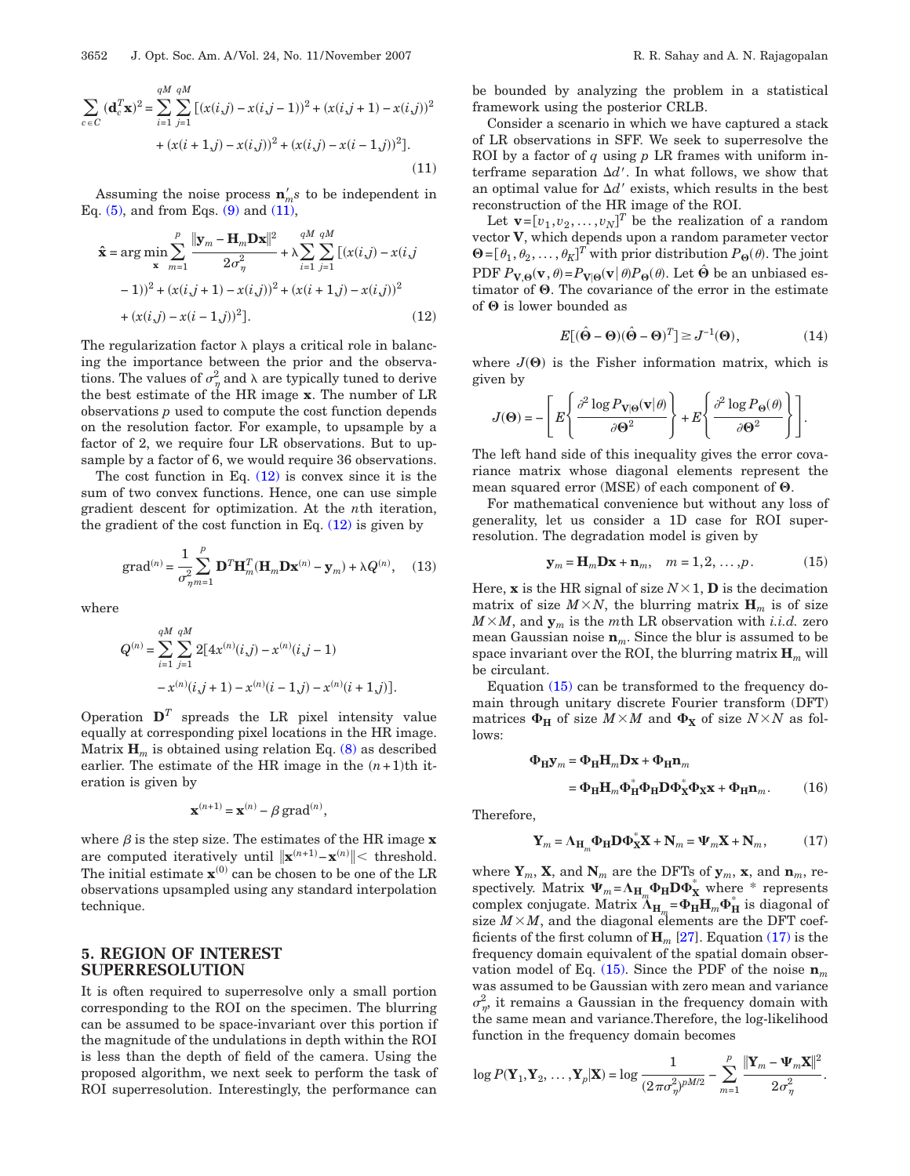<span id="page-3-0"></span>
$$
\sum_{c \in C} (\mathbf{d}_c^T \mathbf{x})^2 = \sum_{i=1}^{qM} \sum_{j=1}^{qM} \left[ (x(i,j) - x(i,j-1))^2 + (x(i,j+1) - x(i,j))^2 + (x(i+1,j) - x(i,j))^2 + (x(i,j) - x(i-1,j))^2 \right].
$$
\n(11)

Assuming the noise process  $\mathbf{n}'_m s$  to be independent in Eq.  $(5)$ , and from Eqs.  $(9)$  and  $(11)$ ,

<span id="page-3-1"></span>
$$
\hat{\mathbf{x}} = \arg \min_{\mathbf{x}} \sum_{m=1}^{p} \frac{\|\mathbf{y}_{m} - \mathbf{H}_{m} \mathbf{D} \mathbf{x}\|^{2}}{2\sigma_{\eta}^{2}} + \lambda \sum_{i=1}^{qM} \sum_{j=1}^{qM} [(x(i,j) - x(i,j) - 1))^{2} + (x(i,j+1) - x(i,j))^{2} + (x(i+1,j) - x(i,j))^{2}
$$

$$
+ (x(i,j) - x(i-1,j))^{2}].
$$
\n(12)

The regularization factor  $\lambda$  plays a critical role in balancing the importance between the prior and the observations. The values of  $\sigma_{\eta}^2$  and  $\lambda$  are typically tuned to derive the best estimate of the HR image **x**. The number of LR observations *p* used to compute the cost function depends on the resolution factor. For example, to upsample by a factor of 2, we require four LR observations. But to upsample by a factor of 6, we would require 36 observations.

The cost function in Eq.  $(12)$  is convex since it is the sum of two convex functions. Hence, one can use simple gradient descent for optimization. At the *n*th iteration, the gradient of the cost function in Eq.  $(12)$  is given by

$$
\text{grad}^{(n)} = \frac{1}{\sigma_{\eta m=1}^2} \sum_{m=1}^p \mathbf{D}^T \mathbf{H}_m^T (\mathbf{H}_m \mathbf{D} \mathbf{x}^{(n)} - \mathbf{y}_m) + \lambda Q^{(n)}, \quad (13)
$$

where

$$
Q^{(n)} = \sum_{i=1}^{qM} \sum_{j=1}^{qM} 2[4x^{(n)}(i,j) - x^{(n)}(i,j-1)
$$

$$
- x^{(n)}(i,j+1) - x^{(n)}(i-1,j) - x^{(n)}(i+1,j)]
$$

Operation  $\mathbf{D}^T$  spreads the LR pixel intensity value equally at corresponding pixel locations in the HR image. Matrix  $\mathbf{H}_m$  is obtained using relation Eq. [\(8\)](#page-2-3) as described earlier. The estimate of the HR image in the  $(n+1)$ <sup>th</sup> iteration is given by

$$
\mathbf{x}^{(n+1)} = \mathbf{x}^{(n)} - \beta \operatorname{grad}^{(n)},
$$

where  $\beta$  is the step size. The estimates of the HR image  $\mathbf x$ are computed iteratively until  $\|\mathbf{x}^{(n+1)} - \mathbf{x}^{(n)}\| < \text{threshold.}$ The initial estimate  $\mathbf{x}^{(0)}$  can be chosen to be one of the LR observations upsampled using any standard interpolation technique.

# **5. REGION OF INTEREST SUPERRESOLUTION**

It is often required to superresolve only a small portion corresponding to the ROI on the specimen. The blurring can be assumed to be space-invariant over this portion if the magnitude of the undulations in depth within the ROI is less than the depth of field of the camera. Using the proposed algorithm, we next seek to perform the task of ROI superresolution. Interestingly, the performance can be bounded by analyzing the problem in a statistical framework using the posterior CRLB.

Consider a scenario in which we have captured a stack of LR observations in SFF. We seek to superresolve the ROI by a factor of *q* using *p* LR frames with uniform interframe separation  $\Delta d'$ . In what follows, we show that an optimal value for  $\Delta d'$  exists, which results in the best reconstruction of the HR image of the ROI.

Let  $\mathbf{v} = [v_1, v_2, \dots, v_N]^T$  be the realization of a random vector **V**, which depends upon a random parameter vector  $\mathbf{\Theta} = [\theta_1, \theta_2, \dots, \theta_K]^T$  with prior distribution  $P_{\Theta}(\theta)$ . The joint PDF  $P_{V,\Theta}(\mathbf{v}, \theta) = P_{V|\Theta}(\mathbf{v} | \theta) P_{\Theta}(\theta)$ . Let  $\hat{\Theta}$  be an unbiased estimator of  $\Theta$ . The covariance of the error in the estimate of  $\Theta$  is lower bounded as

$$
E[(\hat{\Theta} - \Theta)(\hat{\Theta} - \Theta)^{T}] \ge J^{-1}(\Theta), \qquad (14)
$$

where  $J(\Theta)$  is the Fisher information matrix, which is given by

$$
J(\Theta) = -\left[E\left\{\frac{\partial^2 \log P_{\mathbf{V}|\Theta}(\mathbf{v}|\theta)}{\partial \Theta^2}\right\} + E\left\{\frac{\partial^2 \log P_{\Theta}(\theta)}{\partial \Theta^2}\right\}\right].
$$

The left hand side of this inequality gives the error covariance matrix whose diagonal elements represent the mean squared error (MSE) of each component of  $\boldsymbol{\Theta}.$ 

For mathematical convenience but without any loss of generality, let us consider a 1D case for ROI superresolution. The degradation model is given by

$$
\mathbf{y}_m = \mathbf{H}_m \mathbf{D} \mathbf{x} + \mathbf{n}_m, \quad m = 1, 2, \dots, p. \tag{15}
$$

<span id="page-3-2"></span>Here, **x** is the HR signal of size  $N \times 1$ , **D** is the decimation matrix of size  $M \times N$ , the blurring matrix  $\mathbf{H}_m$  is of size  $M \times M$ , and  $\mathbf{y}_m$  is the *m*th LR observation with *i.i.d.* zero mean Gaussian noise  $\mathbf{n}_m$ . Since the blur is assumed to be space invariant over the ROI, the blurring matrix **H***<sup>m</sup>* will be circulant.

Equation [\(15\)](#page-3-2) can be transformed to the frequency domain through unitary discrete Fourier transform (DFT) matrices  $\Phi_H$  of size  $M \times M$  and  $\Phi_X$  of size  $N \times N$  as follows:

$$
\Phi_{\mathbf{H}} \mathbf{y}_m = \Phi_{\mathbf{H}} \mathbf{H}_m \mathbf{D} \mathbf{x} + \Phi_{\mathbf{H}} \mathbf{n}_m
$$
  
=  $\Phi_{\mathbf{H}} \mathbf{H}_m \Phi_{\mathbf{H}}^* \Phi_{\mathbf{H}} \mathbf{D} \Phi_{\mathbf{X}}^* \Phi_{\mathbf{X}} \mathbf{x} + \Phi_{\mathbf{H}} \mathbf{n}_m.$  (16)

<span id="page-3-3"></span>Therefore,

.

$$
\mathbf{Y}_m = \Lambda_{\mathbf{H}_m} \mathbf{\Phi}_{\mathbf{H}} \mathbf{D} \mathbf{\Phi}_{\mathbf{X}}^* \mathbf{X} + \mathbf{N}_m = \mathbf{\Psi}_m \mathbf{X} + \mathbf{N}_m, \quad (17)
$$

where  $\mathbf{Y}_m$ , **X**, and  $\mathbf{N}_m$  are the DFTs of  $\mathbf{y}_m$ , **x**, and  $\mathbf{n}_m$ , respectively. Matrix  $\Psi_m = \Lambda_{\mathbf{H}_m} \Phi_{\mathbf{H}} \mathbf{D} \Phi_{\mathbf{X}}^*$  where \* represents complex conjugate. Matrix  $\Lambda_{\mathbf{H}_{m}} = \mathbf{\Phi}_{\mathbf{H}} \mathbf{H}_{m} \mathbf{\Phi}_{\mathbf{H}}^{*}$  is diagonal of size  $M \times M$ , and the diagonal elements are the DFT coefficients of the first column of  $\mathbf{H}_m$  [\[27\]](#page-8-14). Equation [\(17\)](#page-3-3) is the frequency domain equivalent of the spatial domain observation model of Eq.  $(15)$ . Since the PDF of the noise  $\mathbf{n}_m$ was assumed to be Gaussian with zero mean and variance  $\sigma_{\eta}^2$ , it remains a Gaussian in the frequency domain with the same mean and variance.Therefore, the log-likelihood function in the frequency domain becomes

$$
\log P(\mathbf{Y}_1, \mathbf{Y}_2, \dots, \mathbf{Y}_p | \mathbf{X}) = \log \frac{1}{(2\pi\sigma_\eta^2)^{pM/2}} - \sum_{m=1}^p \frac{\|\mathbf{Y}_m - \mathbf{\Psi}_m \mathbf{X}\|^2}{2\sigma_\eta^2}.
$$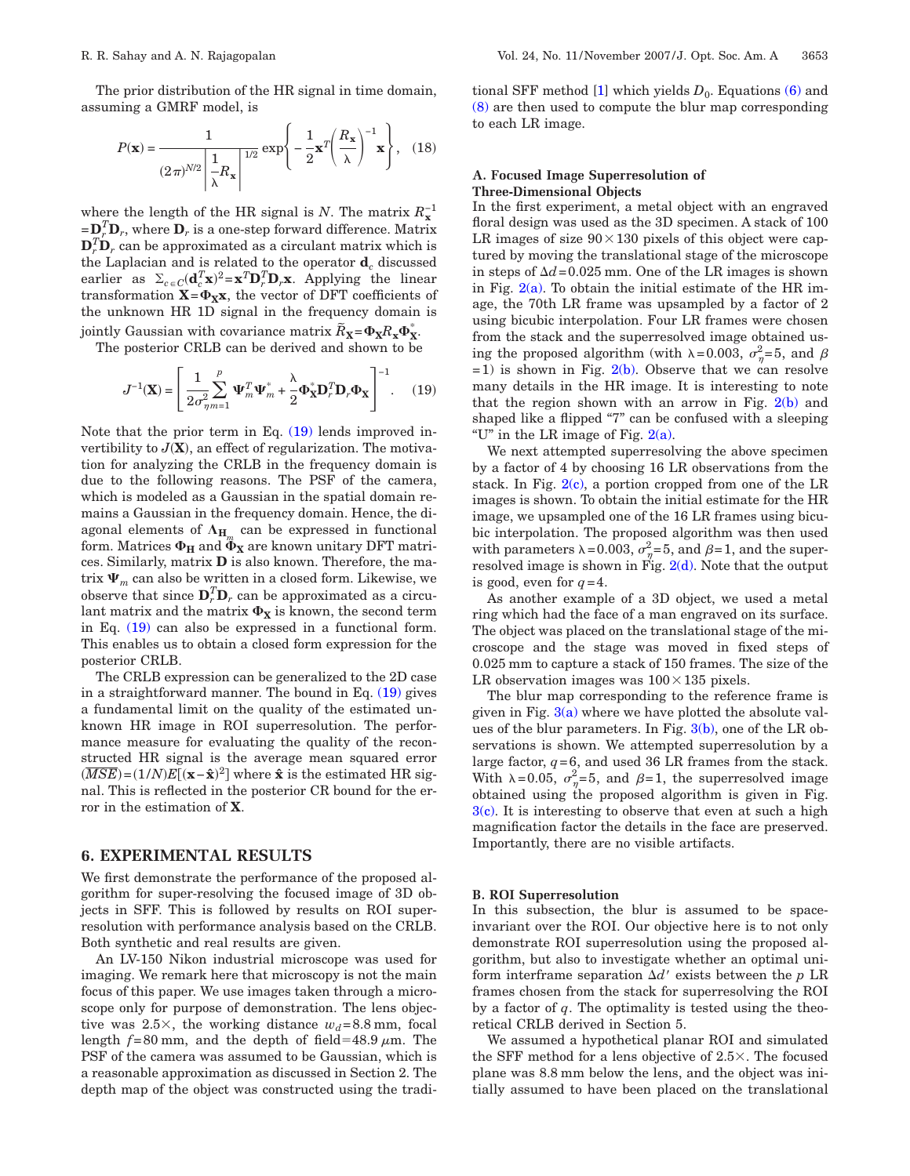The prior distribution of the HR signal in time domain, assuming a GMRF model, is

$$
P(\mathbf{x}) = \frac{1}{(2\pi)^{N/2} \left| \frac{1}{\lambda} R_{\mathbf{x}} \right|^{1/2}} \exp\left\{-\frac{1}{2} \mathbf{x}^T \left(\frac{R_{\mathbf{x}}}{\lambda}\right)^{-1} \mathbf{x}\right\}, \quad (18)
$$

where the length of the HR signal is *N*. The matrix  $R_{\mathbf{x}}^{-1}$  $=\mathbf{D}_r^T \mathbf{D}_r$ , where  $\mathbf{D}_r$  is a one-step forward difference. Matrix  $\mathbf{D}_r^T \mathbf{D}_r$  can be approximated as a circulant matrix which is the Laplacian and is related to the operator **d***<sup>c</sup>* discussed earlier as  $\Sigma_{c \in C}(\mathbf{d}_c^T \mathbf{x})^2 = \mathbf{x}^T \mathbf{D}_r^T \mathbf{D}_r \mathbf{x}$ . Applying the linear  $x = \Phi_{\mathbf{X}} x$ , the vector of DFT coefficients of the unknown HR 1D signal in the frequency domain is jointly Gaussian with covariance matrix  $\tilde{R}_{\mathbf{X}} = \Phi_{\mathbf{X}} R_{\mathbf{X}} \Phi_{\mathbf{X}}^*$ .

<span id="page-4-0"></span>The posterior CRLB can be derived and shown to be

$$
J^{-1}(\mathbf{X}) = \left[ \frac{1}{2\sigma_{\eta m=1}^2} \sum_{m=1}^p \mathbf{\Psi}_m^T \mathbf{\Psi}_m^* + \frac{\lambda}{2} \mathbf{\Phi}_{\mathbf{X}}^* \mathbf{D}_r^T \mathbf{D}_r \mathbf{\Phi}_{\mathbf{X}} \right]^{-1}.
$$
 (19)

Note that the prior term in Eq. [\(19\)](#page-4-0) lends improved invertibility to  $J(X)$ , an effect of regularization. The motivation for analyzing the CRLB in the frequency domain is due to the following reasons. The PSF of the camera, which is modeled as a Gaussian in the spatial domain remains a Gaussian in the frequency domain. Hence, the diagonal elements of  $\Lambda_{H_m}$  can be expressed in functional form. Matrices  $\Phi_{\text{H}}$  and  $\tilde{\Phi}_{\text{X}}$  are known unitary DFT matrices. Similarly, matrix **D** is also known. Therefore, the matrix  $\Psi_m$  can also be written in a closed form. Likewise, we observe that since  $\mathbf{D}_r^T \mathbf{D}_r$  can be approximated as a circulant matrix and the matrix  $\Phi_{\textbf{X}}$  is known, the second term in Eq. [\(19\)](#page-4-0) can also be expressed in a functional form. This enables us to obtain a closed form expression for the posterior CRLB.

The CRLB expression can be generalized to the 2D case in a straightforward manner. The bound in Eq.  $(19)$  gives a fundamental limit on the quality of the estimated unknown HR image in ROI superresolution. The performance measure for evaluating the quality of the reconstructed HR signal is the average mean squared error  $(\overline{MSE}) = (1/N)E[(\mathbf{x} - \hat{\mathbf{x}})^2]$  where  $\hat{\mathbf{x}}$  is the estimated HR signal. This is reflected in the posterior CR bound for the error in the estimation of **X**.

## **6. EXPERIMENTAL RESULTS**

We first demonstrate the performance of the proposed algorithm for super-resolving the focused image of 3D objects in SFF. This is followed by results on ROI superresolution with performance analysis based on the CRLB. Both synthetic and real results are given.

An LV-150 Nikon industrial microscope was used for imaging. We remark here that microscopy is not the main focus of this paper. We use images taken through a microscope only for purpose of demonstration. The lens objective was  $2.5\times$ , the working distance  $w_d$ =8.8 mm, focal length  $f=80$  mm, and the depth of field=48.9  $\mu$ m. The PSF of the camera was assumed to be Gaussian, which is a reasonable approximation as discussed in Section 2. The depth map of the object was constructed using the traditional SFF method [\[1\]](#page-7-0) which yields  $D_0$ . Equations [\(6\)](#page-2-1) and [\(8\)](#page-2-3) are then used to compute the blur map corresponding to each LR image.

### **A. Focused Image Superresolution of Three-Dimensional Objects**

In the first experiment, a metal object with an engraved floral design was used as the 3D specimen. A stack of 100 LR images of size  $90\times130$  pixels of this object were captured by moving the translational stage of the microscope in steps of  $\Delta d$ =0.025 mm. One of the LR images is shown in Fig.  $2(a)$ . To obtain the initial estimate of the HR image, the 70th LR frame was upsampled by a factor of 2 using bicubic interpolation. Four LR frames were chosen from the stack and the superresolved image obtained using the proposed algorithm (with  $\lambda = 0.003$ ,  $\sigma_{\eta}^2 = 5$ , and  $\beta$  $=1$ ) is shown in Fig. [2\(b\).](#page-5-0) Observe that we can resolve many details in the HR image. It is interesting to note that the region shown with an arrow in Fig.  $2(b)$  and shaped like a flipped "7" can be confused with a sleeping "U" in the LR image of Fig.  $2(a)$ .

We next attempted superresolving the above specimen by a factor of 4 by choosing 16 LR observations from the stack. In Fig.  $2(c)$ , a portion cropped from one of the LR images is shown. To obtain the initial estimate for the HR image, we upsampled one of the 16 LR frames using bicubic interpolation. The proposed algorithm was then used with parameters  $\lambda = 0.003$ ,  $\sigma_{\eta}^2 = 5$ , and  $\beta = 1$ , and the superresolved image is shown in Fig.  $2(d)$ . Note that the output is good, even for  $q=4$ .

As another example of a 3D object, we used a metal ring which had the face of a man engraved on its surface. The object was placed on the translational stage of the microscope and the stage was moved in fixed steps of 0.025 mm to capture a stack of 150 frames. The size of the LR observation images was  $100\times135$  pixels.

The blur map corresponding to the reference frame is given in Fig.  $3(a)$  where we have plotted the absolute values of the blur parameters. In Fig.  $3(b)$ , one of the LR observations is shown. We attempted superresolution by a large factor,  $q=6$ , and used 36 LR frames from the stack. With  $\lambda = 0.05$ ,  $\sigma_{\eta}^2 = 5$ , and  $\beta = 1$ , the superresolved image obtained using the proposed algorithm is given in Fig.  $3(c)$ . It is interesting to observe that even at such a high magnification factor the details in the face are preserved. Importantly, there are no visible artifacts.

#### **B. ROI Superresolution**

In this subsection, the blur is assumed to be spaceinvariant over the ROI. Our objective here is to not only demonstrate ROI superresolution using the proposed algorithm, but also to investigate whether an optimal uniform interframe separation  $\Delta d'$  exists between the *p* LR frames chosen from the stack for superresolving the ROI by a factor of *q*. The optimality is tested using the theoretical CRLB derived in Section 5.

We assumed a hypothetical planar ROI and simulated the SFF method for a lens objective of  $2.5\times$ . The focused plane was 8.8 mm below the lens, and the object was initially assumed to have been placed on the translational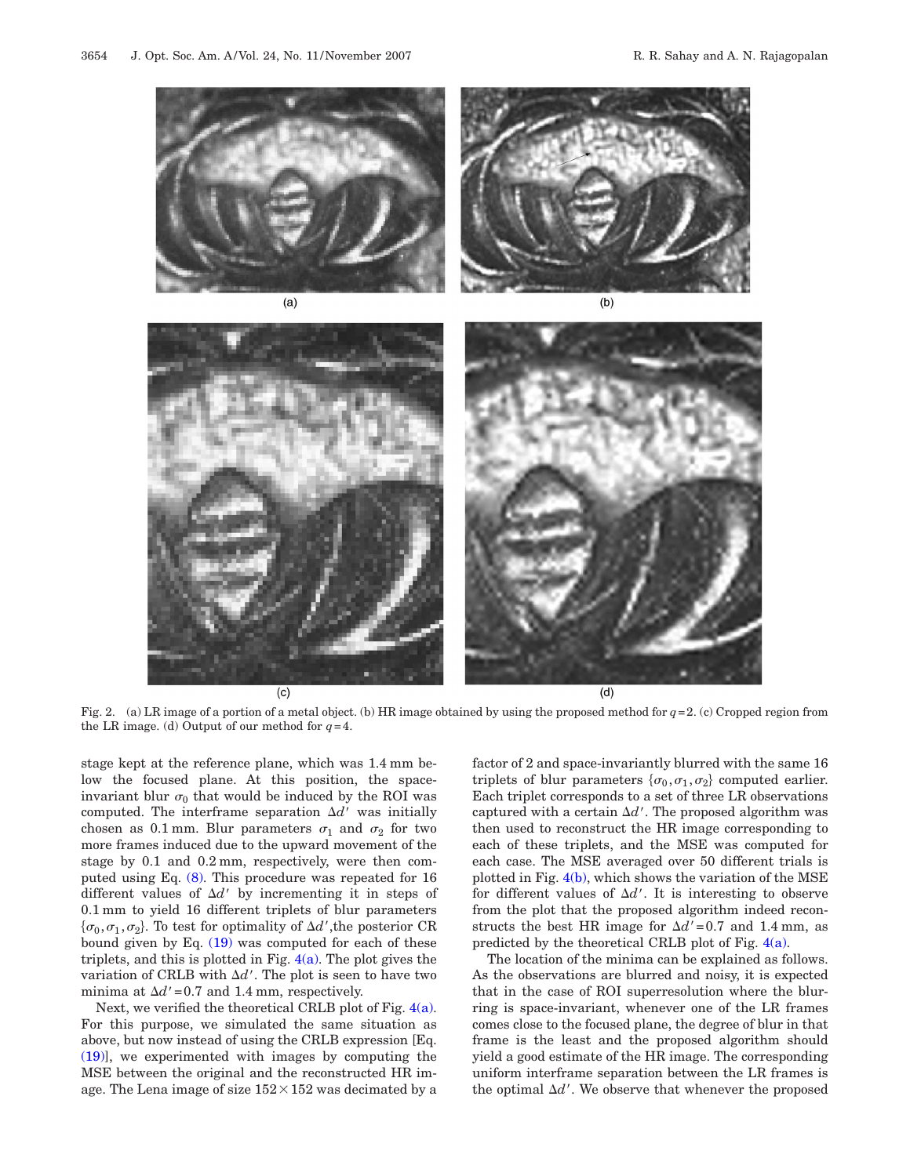<span id="page-5-0"></span>

Fig. 2. (a) LR image of a portion of a metal object. (b) HR image obtained by using the proposed method for *q*=2. (c) Cropped region from the LR image. (d) Output of our method for  $q=4$ .

stage kept at the reference plane, which was 1.4 mm below the focused plane. At this position, the spaceinvariant blur  $\sigma_0$  that would be induced by the ROI was computed. The interframe separation  $\Delta d'$  was initially chosen as 0.1 mm. Blur parameters  $\sigma_1$  and  $\sigma_2$  for two more frames induced due to the upward movement of the stage by 0.1 and 0.2 mm, respectively, were then computed using Eq. [\(8\).](#page-2-3) This procedure was repeated for 16 different values of  $\Delta d'$  by incrementing it in steps of 0.1 mm to yield 16 different triplets of blur parameters  $\{\sigma_0, \sigma_1, \sigma_2\}$ . To test for optimality of  $\Delta d'$ , the posterior CR bound given by Eq.  $(19)$  was computed for each of these triplets, and this is plotted in Fig.  $4(a)$ . The plot gives the variation of CRLB with  $\Delta d'$ . The plot is seen to have two minima at  $\Delta d'$  = 0.7 and 1.4 mm, respectively.

 $(c)$ 

Next, we verified the theoretical CRLB plot of Fig. [4\(a\).](#page-6-1) For this purpose, we simulated the same situation as above, but now instead of using the CRLB expression [Eq. [\(19\)\]](#page-4-0), we experimented with images by computing the MSE between the original and the reconstructed HR image. The Lena image of size  $152 \times 152$  was decimated by a factor of 2 and space-invariantly blurred with the same 16 triplets of blur parameters  $\{\sigma_0, \sigma_1, \sigma_2\}$  computed earlier. Each triplet corresponds to a set of three LR observations captured with a certain  $\Delta d'$ . The proposed algorithm was then used to reconstruct the HR image corresponding to each of these triplets, and the MSE was computed for each case. The MSE averaged over 50 different trials is plotted in Fig.  $4(b)$ , which shows the variation of the MSE for different values of  $\Delta d'$ . It is interesting to observe from the plot that the proposed algorithm indeed reconstructs the best HR image for  $\Delta d'$ =0.7 and 1.4 mm, as predicted by the theoretical CRLB plot of Fig.  $4(a)$ .

 $(d)$ 

The location of the minima can be explained as follows. As the observations are blurred and noisy, it is expected that in the case of ROI superresolution where the blurring is space-invariant, whenever one of the LR frames comes close to the focused plane, the degree of blur in that frame is the least and the proposed algorithm should yield a good estimate of the HR image. The corresponding uniform interframe separation between the LR frames is the optimal  $\Delta d'$ . We observe that whenever the proposed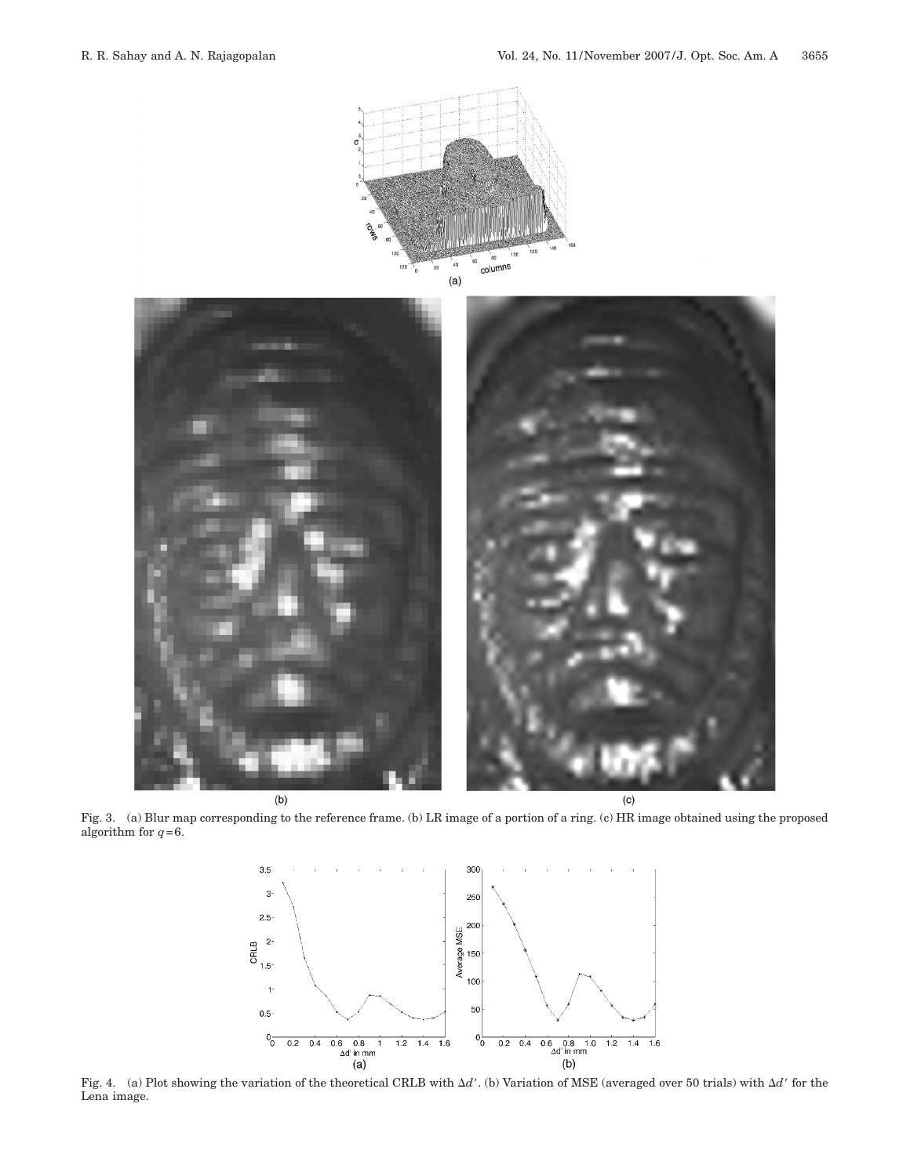<span id="page-6-0"></span>

Fig. 3. (a) Blur map corresponding to the reference frame. (b) LR image of a portion of a ring. (c) HR image obtained using the proposed algorithm for  $q=6$ .

<span id="page-6-1"></span>

Lena image.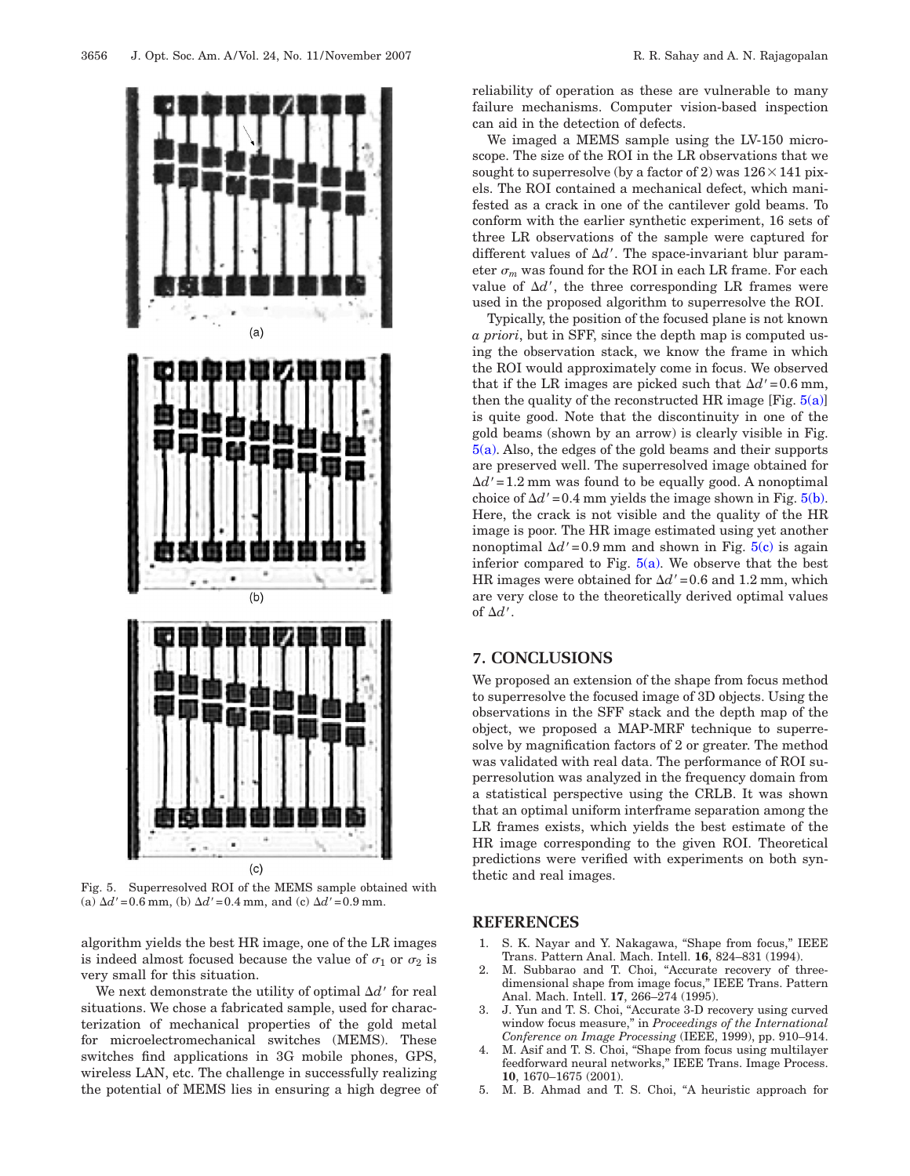<span id="page-7-5"></span>

Fig. 5. Superresolved ROI of the MEMS sample obtained with (a)  $\Delta d' = 0.6$  mm, (b)  $\Delta d' = 0.4$  mm, and (c)  $\Delta d' = 0.9$  mm.

algorithm yields the best HR image, one of the LR images is indeed almost focused because the value of  $\sigma_1$  or  $\sigma_2$  is very small for this situation.

We next demonstrate the utility of optimal  $\Delta d'$  for real situations. We chose a fabricated sample, used for characterization of mechanical properties of the gold metal for microelectromechanical switches (MEMS). These switches find applications in 3G mobile phones, GPS, wireless LAN, etc. The challenge in successfully realizing the potential of MEMS lies in ensuring a high degree of reliability of operation as these are vulnerable to many failure mechanisms. Computer vision-based inspection can aid in the detection of defects.

We imaged a MEMS sample using the LV-150 microscope. The size of the ROI in the LR observations that we sought to superresolve (by a factor of 2) was  $126 \times 141$  pixels. The ROI contained a mechanical defect, which manifested as a crack in one of the cantilever gold beams. To conform with the earlier synthetic experiment, 16 sets of three LR observations of the sample were captured for different values of  $\Delta d'$ . The space-invariant blur parameter  $\sigma_m$  was found for the ROI in each LR frame. For each value of  $\Delta d'$ , the three corresponding LR frames were used in the proposed algorithm to superresolve the ROI.

Typically, the position of the focused plane is not known *a priori*, but in SFF, since the depth map is computed using the observation stack, we know the frame in which the ROI would approximately come in focus. We observed that if the LR images are picked such that  $\Delta d'$ =0.6 mm, then the quality of the reconstructed HR image [Fig.  $5(a)$ ] is quite good. Note that the discontinuity in one of the gold beams (shown by an arrow) is clearly visible in Fig. [5\(a\).](#page-7-5) Also, the edges of the gold beams and their supports are preserved well. The superresolved image obtained for  $\Delta d'$  = 1.2 mm was found to be equally good. A nonoptimal choice of  $\Delta d'$  = 0.4 mm yields the image shown in Fig.  $5(b)$ . Here, the crack is not visible and the quality of the HR image is poor. The HR image estimated using yet another nonoptimal  $\Delta d'$  = 0.9 mm and shown in Fig.  $5(c)$  is again inferior compared to Fig.  $5(a)$ . We observe that the best HR images were obtained for  $\Delta d'$  = 0.6 and 1.2 mm, which are very close to the theoretically derived optimal values of  $\Delta d'$ .

# **7. CONCLUSIONS**

We proposed an extension of the shape from focus method to superresolve the focused image of 3D objects. Using the observations in the SFF stack and the depth map of the object, we proposed a MAP-MRF technique to superresolve by magnification factors of 2 or greater. The method was validated with real data. The performance of ROI superresolution was analyzed in the frequency domain from a statistical perspective using the CRLB. It was shown that an optimal uniform interframe separation among the LR frames exists, which yields the best estimate of the HR image corresponding to the given ROI. Theoretical predictions were verified with experiments on both synthetic and real images.

# **REFERENCES**

- <span id="page-7-0"></span>1. S. K. Nayar and Y. Nakagawa, "Shape from focus," IEEE Trans. Pattern Anal. Mach. Intell. **16**, 824–831 (1994).
- <span id="page-7-1"></span>2. M. Subbarao and T. Choi, "Accurate recovery of threedimensional shape from image focus," IEEE Trans. Pattern Anal. Mach. Intell. **17**, 266–274 (1995).
- <span id="page-7-2"></span>3. J. Yun and T. S. Choi, "Accurate 3-D recovery using curved window focus measure," in *Proceedings of the International Conference on Image Processing* (IEEE, 1999), pp. 910–914.
- <span id="page-7-3"></span>M. Asif and T. S. Choi, "Shape from focus using multilayer feedforward neural networks," IEEE Trans. Image Process. **10**, 1670–1675 (2001).
- <span id="page-7-4"></span>5. M. B. Ahmad and T. S. Choi, "A heuristic approach for